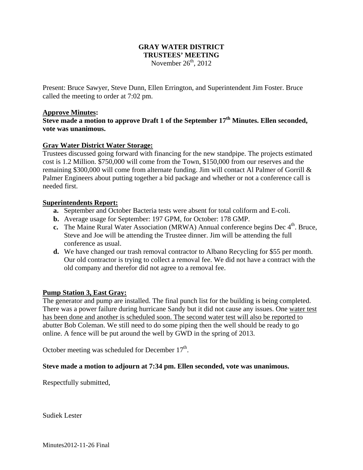# **GRAY WATER DISTRICT TRUSTEES' MEETING**  November  $26<sup>th</sup>$ , 2012

Present: Bruce Sawyer, Steve Dunn, Ellen Errington, and Superintendent Jim Foster. Bruce called the meeting to order at 7:02 pm.

### **Approve Minutes:**

**Steve made a motion to approve Draft 1 of the September 17th Minutes. Ellen seconded, vote was unanimous.** 

## **Gray Water District Water Storage:**

Trustees discussed going forward with financing for the new standpipe. The projects estimated cost is 1.2 Million. \$750,000 will come from the Town, \$150,000 from our reserves and the remaining \$300,000 will come from alternate funding. Jim will contact Al Palmer of Gorrill & Palmer Engineers about putting together a bid package and whether or not a conference call is needed first.

#### **Superintendents Report:**

- **a.** September and October Bacteria tests were absent for total coliform and E-coli.
- **b.** Average usage for September: 197 GPM, for October: 178 GMP.
- **c.** The Maine Rural Water Association (MRWA) Annual conference begins Dec  $4<sup>th</sup>$ . Bruce, Steve and Joe will be attending the Trustee dinner. Jim will be attending the full conference as usual.
- **d.** We have changed our trash removal contractor to Albano Recycling for \$55 per month. Our old contractor is trying to collect a removal fee. We did not have a contract with the old company and therefor did not agree to a removal fee.

## **Pump Station 3, East Gray:**

The generator and pump are installed. The final punch list for the building is being completed. There was a power failure during hurricane Sandy but it did not cause any issues. One water test has been done and another is scheduled soon. The second water test will also be reported to abutter Bob Coleman. We still need to do some piping then the well should be ready to go online. A fence will be put around the well by GWD in the spring of 2013.

October meeting was scheduled for December  $17<sup>th</sup>$ .

#### **Steve made a motion to adjourn at 7:34 pm. Ellen seconded, vote was unanimous.**

Respectfully submitted,

Sudiek Lester